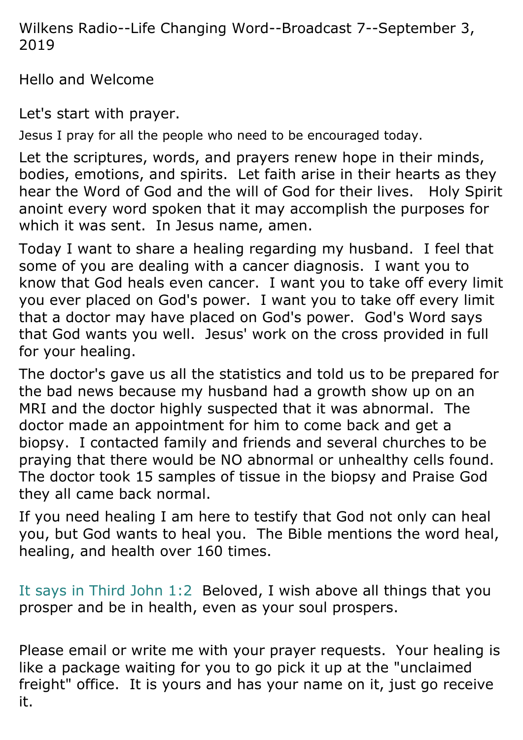Wilkens Radio--Life Changing Word--Broadcast 7--September 3, 2019

Hello and Welcome

Let's start with prayer.

Jesus I pray for all the people who need to be encouraged today.

Let the scriptures, words, and prayers renew hope in their minds, bodies, emotions, and spirits. Let faith arise in their hearts as they hear the Word of God and the will of God for their lives. Holy Spirit anoint every word spoken that it may accomplish the purposes for which it was sent. In Jesus name, amen.

Today I want to share a healing regarding my husband. I feel that some of you are dealing with a cancer diagnosis. I want you to know that God heals even cancer. I want you to take off every limit you ever placed on God's power. I want you to take off every limit that a doctor may have placed on God's power. God's Word says that God wants you well. Jesus' work on the cross provided in full for your healing.

The doctor's gave us all the statistics and told us to be prepared for the bad news because my husband had a growth show up on an MRI and the doctor highly suspected that it was abnormal. The doctor made an appointment for him to come back and get a biopsy. I contacted family and friends and several churches to be praying that there would be NO abnormal or unhealthy cells found. The doctor took 15 samples of tissue in the biopsy and Praise God they all came back normal.

If you need healing I am here to testify that God not only can heal you, but God wants to heal you. The Bible mentions the word heal, healing, and health over 160 times.

It says in Third John 1:2 Beloved, I wish above all things that you prosper and be in health, even as your soul prospers.

Please email or write me with your prayer requests. Your healing is like a package waiting for you to go pick it up at the "unclaimed freight" office. It is yours and has your name on it, just go receive it.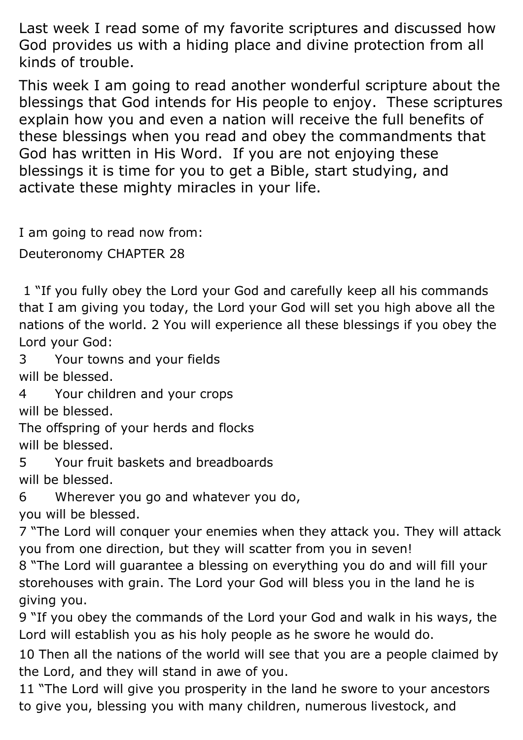Last week I read some of my favorite scriptures and discussed how God provides us with a hiding place and divine protection from all kinds of trouble.

This week I am going to read another wonderful scripture about the blessings that God intends for His people to enjoy. These scriptures explain how you and even a nation will receive the full benefits of these blessings when you read and obey the commandments that God has written in His Word. If you are not enjoying these blessings it is time for you to get a Bible, start studying, and activate these mighty miracles in your life.

I am going to read now from:

Deuteronomy CHAPTER 28

1 "If you fully obey the Lord your God and carefully keep all his commands that I am giving you today, the Lord your God will set you high above all the nations of the world. 2 You will experience all these blessings if you obey the Lord your God:

3 Your towns and your fields will be blessed.

4 Your children and your crops will be blessed.

The offspring of your herds and flocks will be blessed.

5 Your fruit baskets and breadboards will be blessed.

6 Wherever you go and whatever you do, you will be blessed.

7 "The Lord will conquer your enemies when they attack you. They will attack you from one direction, but they will scatter from you in seven!

8 "The Lord will guarantee a blessing on everything you do and will fill your storehouses with grain. The Lord your God will bless you in the land he is giving you.

9 "If you obey the commands of the Lord your God and walk in his ways, the Lord will establish you as his holy people as he swore he would do.

10 Then all the nations of the world will see that you are a people claimed by the Lord, and they will stand in awe of you.

11 "The Lord will give you prosperity in the land he swore to your ancestors to give you, blessing you with many children, numerous livestock, and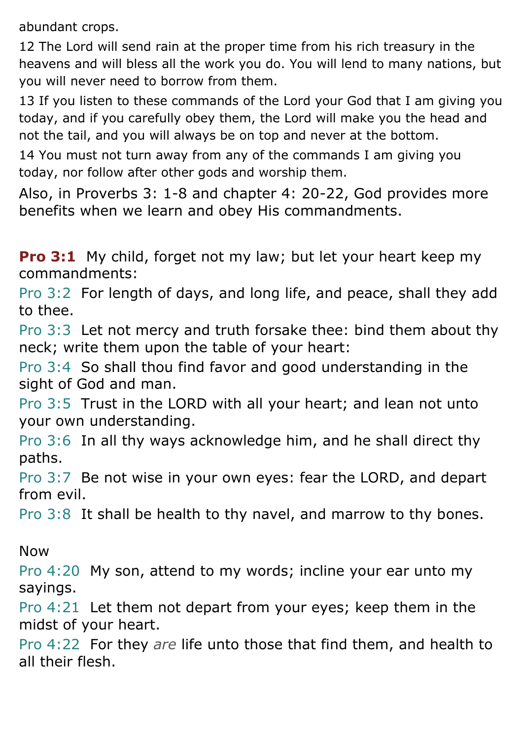abundant crops.

12 The Lord will send rain at the proper time from his rich treasury in the heavens and will bless all the work you do. You will lend to many nations, but you will never need to borrow from them.

13 If you listen to these commands of the Lord your God that I am giving you today, and if you carefully obey them, the Lord will make you the head and not the tail, and you will always be on top and never at the bottom.

14 You must not turn away from any of the commands I am giving you today, nor follow after other gods and worship them.

Also, in Proverbs 3: 1-8 and chapter 4: 20-22, God provides more benefits when we learn and obey His commandments.

**Pro 3:1** My child, forget not my law; but let your heart keep my commandments:

Pro 3:2 For length of days, and long life, and peace, shall they add to thee.

Pro 3:3 Let not mercy and truth forsake thee: bind them about thy neck; write them upon the table of your heart:

Pro 3:4 So shall thou find favor and good understanding in the sight of God and man.

Pro 3:5 Trust in the LORD with all your heart; and lean not unto your own understanding.

Pro 3:6 In all thy ways acknowledge him, and he shall direct thy paths.

Pro 3:7 Be not wise in your own eyes: fear the LORD, and depart from evil.

Pro 3:8 It shall be health to thy navel, and marrow to thy bones.

Now

Pro 4:20 My son, attend to my words; incline your ear unto my sayings.

Pro 4:21 Let them not depart from your eyes; keep them in the midst of your heart.

Pro 4:22 For they *are* life unto those that find them, and health to all their flesh.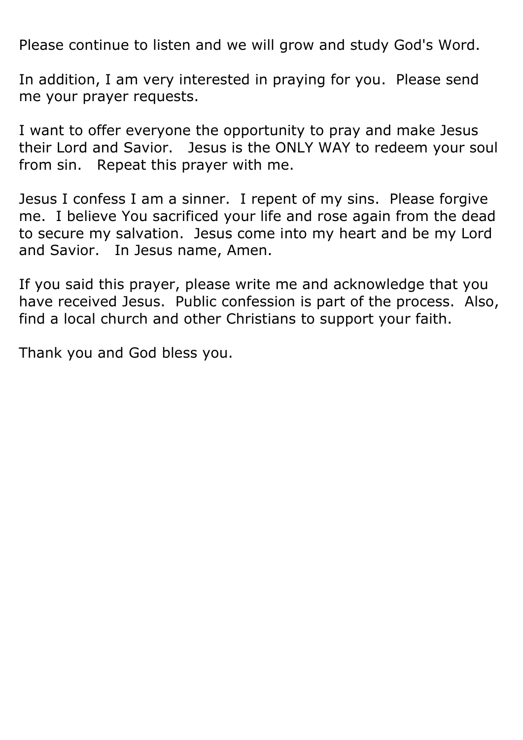Please continue to listen and we will grow and study God's Word.

In addition, I am very interested in praying for you. Please send me your prayer requests.

I want to offer everyone the opportunity to pray and make Jesus their Lord and Savior. Jesus is the ONLY WAY to redeem your soul from sin. Repeat this prayer with me.

Jesus I confess I am a sinner. I repent of my sins. Please forgive me. I believe You sacrificed your life and rose again from the dead to secure my salvation. Jesus come into my heart and be my Lord and Savior. In Jesus name, Amen.

If you said this prayer, please write me and acknowledge that you have received Jesus. Public confession is part of the process. Also, find a local church and other Christians to support your faith.

Thank you and God bless you.